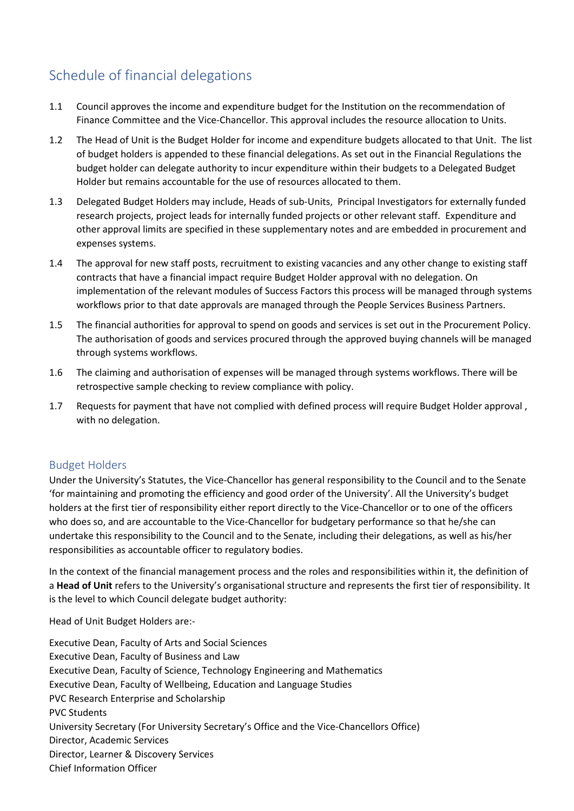## Schedule of financial delegations

- 1.1 Council approves the income and expenditure budget for the Institution on the recommendation of Finance Committee and the Vice-Chancellor. This approval includes the resource allocation to Units.
- 1.2 The Head of Unit is the Budget Holder for income and expenditure budgets allocated to that Unit. The list of budget holders is appended to these financial delegations. As set out in the Financial Regulations the budget holder can delegate authority to incur expenditure within their budgets to a Delegated Budget Holder but remains accountable for the use of resources allocated to them.
- 1.3 Delegated Budget Holders may include, Heads of sub-Units, Principal Investigators for externally funded research projects, project leads for internally funded projects or other relevant staff. Expenditure and other approval limits are specified in these supplementary notes and are embedded in procurement and expenses systems.
- 1.4 The approval for new staff posts, recruitment to existing vacancies and any other change to existing staff contracts that have a financial impact require Budget Holder approval with no delegation. On implementation of the relevant modules of Success Factors this process will be managed through systems workflows prior to that date approvals are managed through the People Services Business Partners.
- 1.5 The financial authorities for approval to spend on goods and services is set out in the Procurement Policy. The authorisation of goods and services procured through the approved buying channels will be managed through systems workflows.
- 1.6 The claiming and authorisation of expenses will be managed through systems workflows. There will be retrospective sample checking to review compliance with policy.
- 1.7 Requests for payment that have not complied with defined process will require Budget Holder approval , with no delegation.

## Budget Holders

Under the University's Statutes, the Vice-Chancellor has general responsibility to the Council and to the Senate 'for maintaining and promoting the efficiency and good order of the University'. All the University's budget holders at the first tier of responsibility either report directly to the Vice-Chancellor or to one of the officers who does so, and are accountable to the Vice-Chancellor for budgetary performance so that he/she can undertake this responsibility to the Council and to the Senate, including their delegations, as well as his/her responsibilities as accountable officer to regulatory bodies.

In the context of the financial management process and the roles and responsibilities within it, the definition of a **Head of Unit** refers to the University's organisational structure and represents the first tier of responsibility. It is the level to which Council delegate budget authority:

Head of Unit Budget Holders are:-

Executive Dean, Faculty of Arts and Social Sciences Executive Dean, Faculty of Business and Law Executive Dean, Faculty of Science, Technology Engineering and Mathematics Executive Dean, Faculty of Wellbeing, Education and Language Studies PVC Research Enterprise and Scholarship PVC Students University Secretary (For University Secretary's Office and the Vice-Chancellors Office) Director, Academic Services Director, Learner & Discovery Services Chief Information Officer